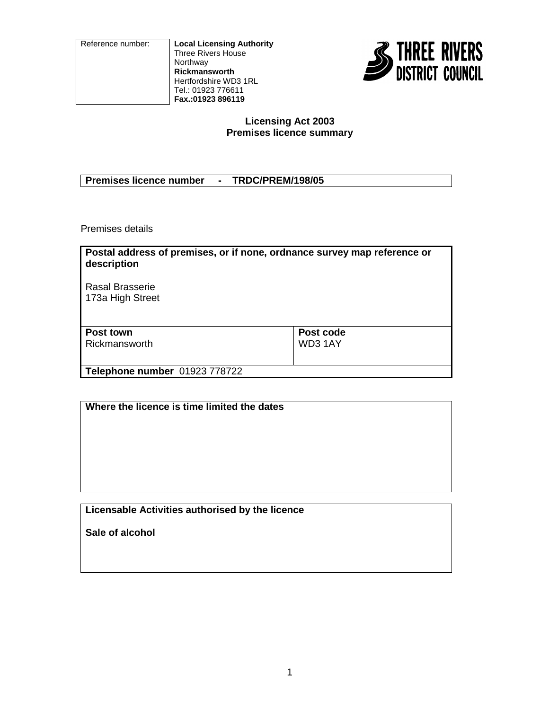Reference number: **Local Licensing Authority** Three Rivers House Northway **Rickmansworth** Hertfordshire WD3 1RL Tel.: 01923 776611 **Fax.:01923 896119**



#### **Licensing Act 2003 Premises licence summary**

| <b>Premises licence number</b> | <b>TRDC/PREM/198/05</b> |
|--------------------------------|-------------------------|
|                                |                         |

Premises details

| Postal address of premises, or if none, ordnance survey map reference or<br>description |           |
|-----------------------------------------------------------------------------------------|-----------|
| Rasal Brasserie<br>173a High Street                                                     |           |
| Post town                                                                               | Post code |
| Rickmansworth                                                                           | WD3 1AY   |
| Telephone number 01923 778722                                                           |           |

| Where the licence is time limited the dates     |  |
|-------------------------------------------------|--|
|                                                 |  |
|                                                 |  |
|                                                 |  |
|                                                 |  |
| Licensable Activities authorised by the licence |  |

**Sale of alcohol**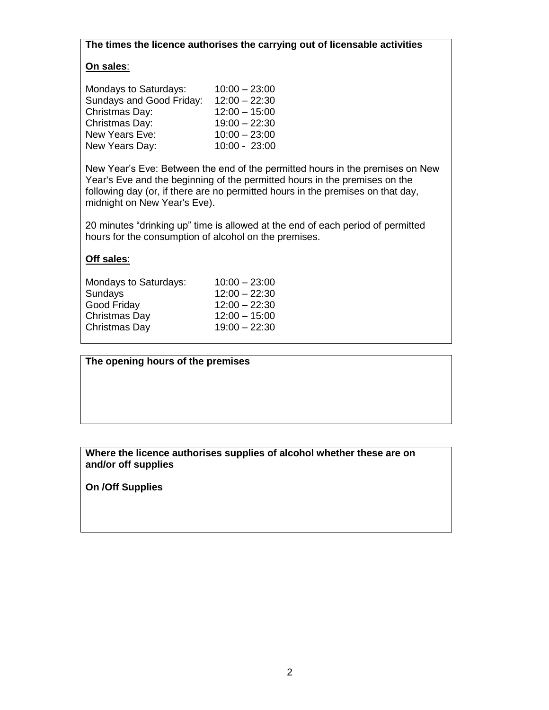**The times the licence authorises the carrying out of licensable activities**

# **On sales**:

| Mondays to Saturdays:    | $10:00 - 23:00$ |
|--------------------------|-----------------|
| Sundays and Good Friday: | $12:00 - 22:30$ |
| Christmas Day:           | $12:00 - 15:00$ |
| Christmas Day:           | $19:00 - 22:30$ |
| New Years Eve:           | $10:00 - 23:00$ |
| New Years Day:           | 10:00 - 23:00   |

New Year's Eve: Between the end of the permitted hours in the premises on New Year's Eve and the beginning of the permitted hours in the premises on the following day (or, if there are no permitted hours in the premises on that day, midnight on New Year's Eve).

20 minutes "drinking up" time is allowed at the end of each period of permitted hours for the consumption of alcohol on the premises.

#### **Off sales**:

| Mondays to Saturdays: | $10:00 - 23:00$ |
|-----------------------|-----------------|
| Sundays               | $12:00 - 22:30$ |
| Good Friday           | $12:00 - 22:30$ |
| Christmas Day         | $12:00 - 15:00$ |
| Christmas Day         | $19:00 - 22:30$ |

**The opening hours of the premises**

# **Where the licence authorises supplies of alcohol whether these are on and/or off supplies**

**On /Off Supplies**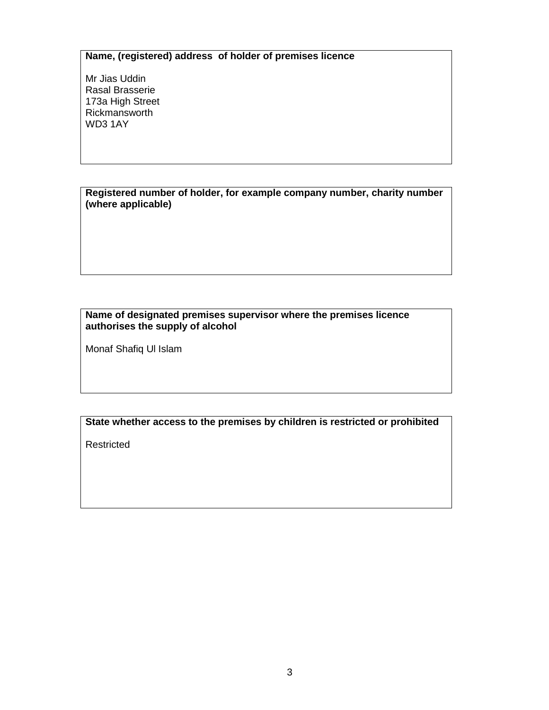# **Name, (registered) address of holder of premises licence**

Mr Jias Uddin Rasal Brasserie 173a High Street Rickmansworth WD3 1AY

**Registered number of holder, for example company number, charity number (where applicable)**

## **Name of designated premises supervisor where the premises licence authorises the supply of alcohol**

Monaf Shafiq Ul Islam

# **State whether access to the premises by children is restricted or prohibited**

Restricted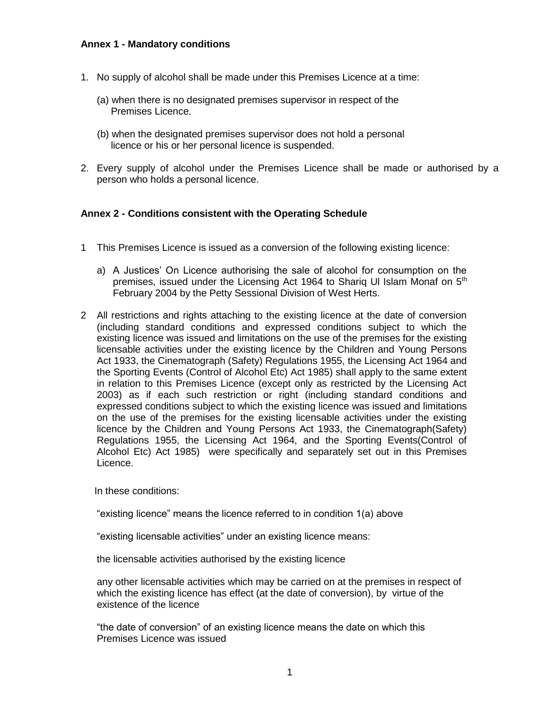### **Annex 1 - Mandatory conditions**

- 1. No supply of alcohol shall be made under this Premises Licence at a time:
	- (a) when there is no designated premises supervisor in respect of the Premises Licence.
	- (b) when the designated premises supervisor does not hold a personal licence or his or her personal licence is suspended.
- 2. Every supply of alcohol under the Premises Licence shall be made or authorised by a person who holds a personal licence.

#### **Annex 2 - Conditions consistent with the Operating Schedule**

- 1 This Premises Licence is issued as a conversion of the following existing licence:
	- a) A Justices' On Licence authorising the sale of alcohol for consumption on the premises, issued under the Licensing Act 1964 to Sharig UI Islam Monaf on  $5<sup>th</sup>$ February 2004 by the Petty Sessional Division of West Herts.
- 2 All restrictions and rights attaching to the existing licence at the date of conversion (including standard conditions and expressed conditions subject to which the existing licence was issued and limitations on the use of the premises for the existing licensable activities under the existing licence by the Children and Young Persons Act 1933, the Cinematograph (Safety) Regulations 1955, the Licensing Act 1964 and the Sporting Events (Control of Alcohol Etc) Act 1985) shall apply to the same extent in relation to this Premises Licence (except only as restricted by the Licensing Act 2003) as if each such restriction or right (including standard conditions and expressed conditions subject to which the existing licence was issued and limitations on the use of the premises for the existing licensable activities under the existing licence by the Children and Young Persons Act 1933, the Cinematograph(Safety) Regulations 1955, the Licensing Act 1964, and the Sporting Events(Control of Alcohol Etc) Act 1985) were specifically and separately set out in this Premises Licence.

In these conditions:

"existing licence" means the licence referred to in condition 1(a) above

"existing licensable activities" under an existing licence means:

the licensable activities authorised by the existing licence

any other licensable activities which may be carried on at the premises in respect of which the existing licence has effect (at the date of conversion), by virtue of the existence of the licence

"the date of conversion" of an existing licence means the date on which this Premises Licence was issued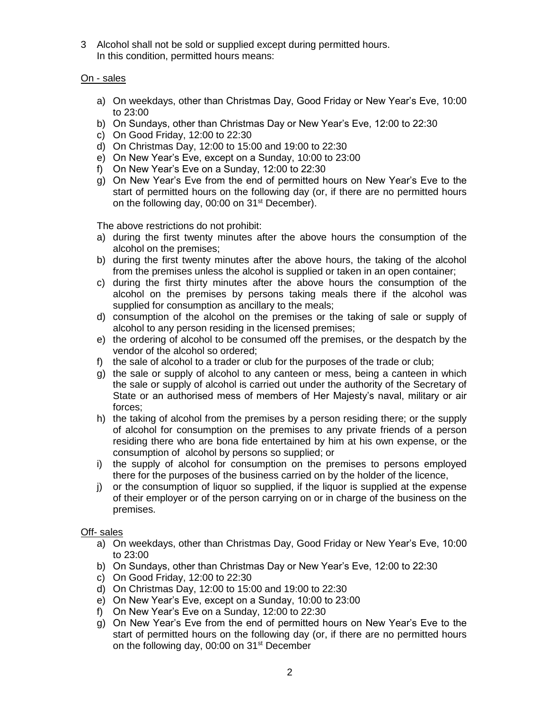3 Alcohol shall not be sold or supplied except during permitted hours. In this condition, permitted hours means:

# On - sales

- a) On weekdays, other than Christmas Day, Good Friday or New Year's Eve, 10:00 to 23:00
- b) On Sundays, other than Christmas Day or New Year's Eve, 12:00 to 22:30
- c) On Good Friday, 12:00 to 22:30
- d) On Christmas Day, 12:00 to 15:00 and 19:00 to 22:30
- e) On New Year's Eve, except on a Sunday, 10:00 to 23:00
- f) On New Year's Eve on a Sunday, 12:00 to 22:30
- g) On New Year's Eve from the end of permitted hours on New Year's Eve to the start of permitted hours on the following day (or, if there are no permitted hours on the following day, 00:00 on 31<sup>st</sup> December).

The above restrictions do not prohibit:

- a) during the first twenty minutes after the above hours the consumption of the alcohol on the premises;
- b) during the first twenty minutes after the above hours, the taking of the alcohol from the premises unless the alcohol is supplied or taken in an open container;
- c) during the first thirty minutes after the above hours the consumption of the alcohol on the premises by persons taking meals there if the alcohol was supplied for consumption as ancillary to the meals;
- d) consumption of the alcohol on the premises or the taking of sale or supply of alcohol to any person residing in the licensed premises;
- e) the ordering of alcohol to be consumed off the premises, or the despatch by the vendor of the alcohol so ordered;
- f) the sale of alcohol to a trader or club for the purposes of the trade or club;
- g) the sale or supply of alcohol to any canteen or mess, being a canteen in which the sale or supply of alcohol is carried out under the authority of the Secretary of State or an authorised mess of members of Her Majesty's naval, military or air forces;
- h) the taking of alcohol from the premises by a person residing there; or the supply of alcohol for consumption on the premises to any private friends of a person residing there who are bona fide entertained by him at his own expense, or the consumption of alcohol by persons so supplied; or
- i) the supply of alcohol for consumption on the premises to persons employed there for the purposes of the business carried on by the holder of the licence,
- j) or the consumption of liquor so supplied, if the liquor is supplied at the expense of their employer or of the person carrying on or in charge of the business on the premises.

# Off- sales

- a) On weekdays, other than Christmas Day, Good Friday or New Year's Eve, 10:00 to 23:00
- b) On Sundays, other than Christmas Day or New Year's Eve, 12:00 to 22:30
- c) On Good Friday, 12:00 to 22:30
- d) On Christmas Day, 12:00 to 15:00 and 19:00 to 22:30
- e) On New Year's Eve, except on a Sunday, 10:00 to 23:00
- f) On New Year's Eve on a Sunday, 12:00 to 22:30
- g) On New Year's Eve from the end of permitted hours on New Year's Eve to the start of permitted hours on the following day (or, if there are no permitted hours on the following day, 00:00 on 31<sup>st</sup> December